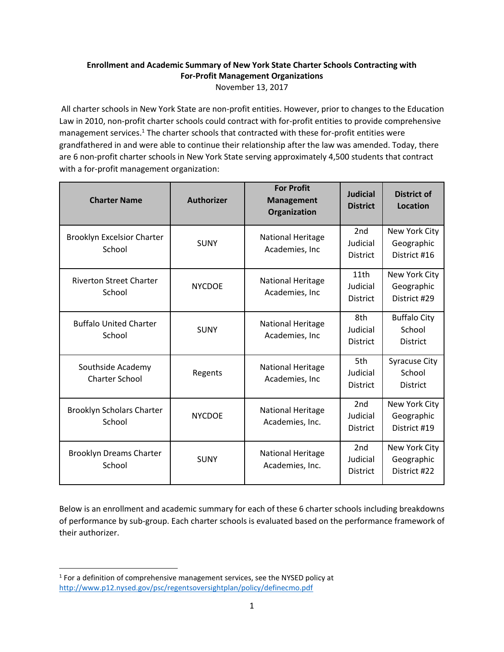## **Enrollment and Academic Summary of New York State Charter Schools Contracting with For-Profit Management Organizations** November 13, 2017

All charter schools in New York State are non-profit entities. However, prior to changes to the Education Law in 2010, non-profit charter schools could contract with for-profit entities to provide comprehensive management services.<sup>1</sup> The charter schools that contracted with these for-profit entities were grandfathered in and were able to continue their relationship after the law was amended. Today, there are 6 non-profit charter schools in New York State serving approximately 4,500 students that contract with a for-profit management organization:

| <b>Charter Name</b>                         | <b>Authorizer</b> | <b>For Profit</b><br><b>Management</b><br>Organization | <b>Judicial</b><br><b>District</b>             | <b>District of</b><br>Location                    |
|---------------------------------------------|-------------------|--------------------------------------------------------|------------------------------------------------|---------------------------------------------------|
| <b>Brooklyn Excelsior Charter</b><br>School | <b>SUNY</b>       | National Heritage<br>Academies, Inc.                   | 2 <sub>nd</sub><br>Judicial<br>District        | New York City<br>Geographic<br>District #16       |
| <b>Riverton Street Charter</b><br>School    | <b>NYCDOE</b>     | National Heritage<br>Academies, Inc                    | 11th<br>Judicial<br><b>District</b>            | New York City<br>Geographic<br>District #29       |
| <b>Buffalo United Charter</b><br>School     | <b>SUNY</b>       | National Heritage<br>Academies, Inc.                   | 8th<br>Judicial<br><b>District</b>             | <b>Buffalo City</b><br>School<br><b>District</b>  |
| Southside Academy<br><b>Charter School</b>  | Regents           | National Heritage<br>Academies, Inc.                   | 5th<br>Judicial<br><b>District</b>             | <b>Syracuse City</b><br>School<br><b>District</b> |
| <b>Brooklyn Scholars Charter</b><br>School  | <b>NYCDOE</b>     | <b>National Heritage</b><br>Academies, Inc.            | 2nd<br>Judicial<br><b>District</b>             | New York City<br>Geographic<br>District #19       |
| <b>Brooklyn Dreams Charter</b><br>School    | <b>SUNY</b>       | National Heritage<br>Academies, Inc.                   | 2 <sub>nd</sub><br>Judicial<br><b>District</b> | New York City<br>Geographic<br>District #22       |

Below is an enrollment and academic summary for each of these 6 charter schools including breakdowns of performance by sub-group. Each charter schools is evaluated based on the performance framework of their authorizer.

 $\overline{\phantom{a}}$ 

 $<sup>1</sup>$  For a definition of comprehensive management services, see the NYSED policy at</sup> <http://www.p12.nysed.gov/psc/regentsoversightplan/policy/definecmo.pdf>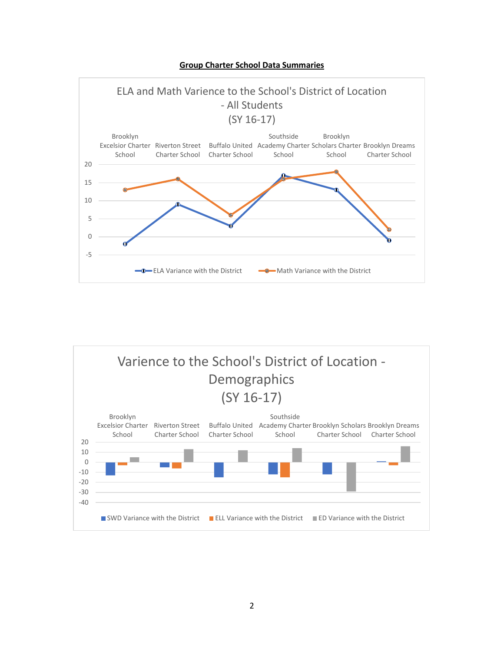**Group Charter School Data Summaries**



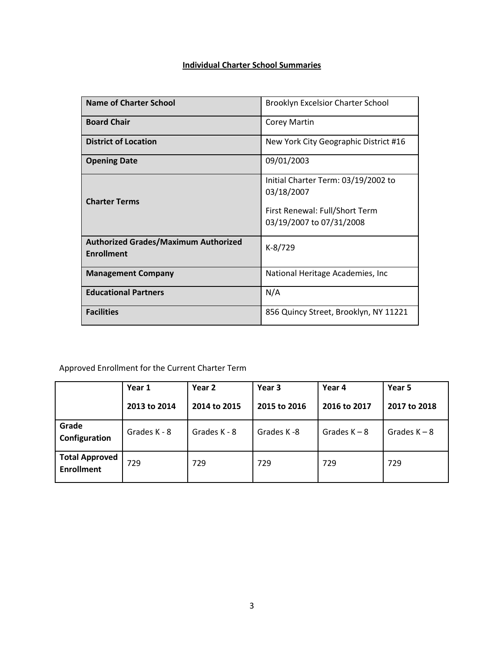## **Individual Charter School Summaries**

| <b>Name of Charter School</b>                                    | <b>Brooklyn Excelsior Charter School</b>                                                                        |
|------------------------------------------------------------------|-----------------------------------------------------------------------------------------------------------------|
| <b>Board Chair</b>                                               | Corey Martin                                                                                                    |
| <b>District of Location</b>                                      | New York City Geographic District #16                                                                           |
| <b>Opening Date</b>                                              | 09/01/2003                                                                                                      |
| <b>Charter Terms</b>                                             | Initial Charter Term: 03/19/2002 to<br>03/18/2007<br>First Renewal: Full/Short Term<br>03/19/2007 to 07/31/2008 |
| <b>Authorized Grades/Maximum Authorized</b><br><b>Enrollment</b> | K-8/729                                                                                                         |
| <b>Management Company</b>                                        | National Heritage Academies, Inc                                                                                |
| <b>Educational Partners</b>                                      | N/A                                                                                                             |
| <b>Facilities</b>                                                | 856 Quincy Street, Brooklyn, NY 11221                                                                           |

|                                            | Year 1       | Year 2<br>Year 3 |              | Year 4         | Year 5         |
|--------------------------------------------|--------------|------------------|--------------|----------------|----------------|
|                                            | 2013 to 2014 | 2014 to 2015     | 2015 to 2016 | 2016 to 2017   | 2017 to 2018   |
| Grade<br>Configuration                     | Grades K - 8 | Grades K - 8     | Grades K-8   | Grades $K - 8$ | Grades $K - 8$ |
| <b>Total Approved</b><br><b>Enrollment</b> | 729          | 729              | 729          | 729            | 729            |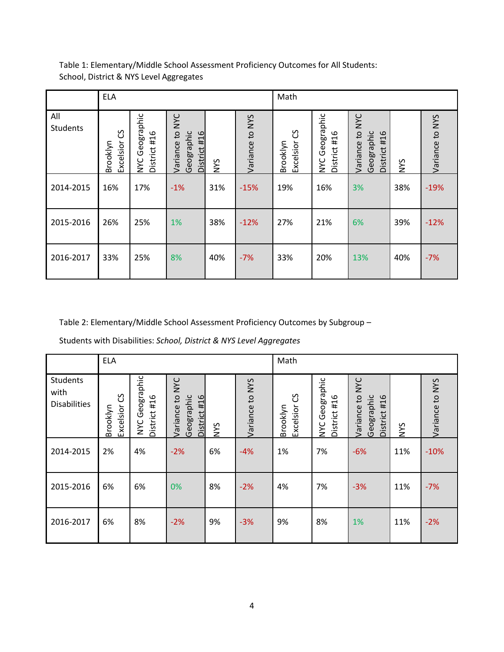|                 | <b>ELA</b>                 |                                |                                                                      |     |                 | Math                       |                                |                                                                          |            |                 |
|-----------------|----------------------------|--------------------------------|----------------------------------------------------------------------|-----|-----------------|----------------------------|--------------------------------|--------------------------------------------------------------------------|------------|-----------------|
| All<br>Students | უ<br>Excelsior<br>Brooklyn | NYC Geographic<br>District #16 | <b>NYC</b><br>$\mathbf{c}$<br>Geographic<br>District #16<br>Variance | NYS | Variance to NYS | უ<br>Excelsior<br>Brooklyn | NYC Geographic<br>District #16 | <b>NYC</b><br>$\mathbf{c}$<br>Geographic<br>#16<br>Variance<br>District: | <b>NYS</b> | Variance to NYS |
| 2014-2015       | 16%                        | 17%                            | $-1%$                                                                | 31% | $-15%$          | 19%                        | 16%                            | 3%                                                                       | 38%        | $-19%$          |
| 2015-2016       | 26%                        | 25%                            | 1%                                                                   | 38% | $-12%$          | 27%                        | 21%                            | 6%                                                                       | 39%        | $-12%$          |
| 2016-2017       | 33%                        | 25%                            | 8%                                                                   | 40% | $-7%$           | 33%                        | 20%                            | 13%                                                                      | 40%        | $-7%$           |

Table 2: Elementary/Middle School Assessment Proficiency Outcomes by Subgroup –

Students with Disabilities: *School, District & NYS Level Aggregates*

|                                                | <b>ELA</b>                      |                                          |                                                  |            |                 | Math                            |                                |                                                                        |            |                 |
|------------------------------------------------|---------------------------------|------------------------------------------|--------------------------------------------------|------------|-----------------|---------------------------------|--------------------------------|------------------------------------------------------------------------|------------|-----------------|
| <b>Students</b><br>with<br><b>Disabilities</b> | უ<br>ე<br>Excelsior<br>Brooklyn | Geographic<br>District #16<br><b>NYC</b> | to NYC<br>Geographic<br>District #16<br>Variance | <b>NYS</b> | Variance to NYS | უ<br>ე<br>Excelsior<br>Brooklyn | NYC Geographic<br>District #16 | <b>NYC</b><br>$\overline{c}$<br>Geographic<br>District #16<br>Variance | <b>SAN</b> | Variance to NYS |
| 2014-2015                                      | 2%                              | 4%                                       | $-2%$                                            | 6%         | $-4%$           | 1%                              | 7%                             | $-6%$                                                                  | 11%        | $-10%$          |
| 2015-2016                                      | 6%                              | 6%                                       | 0%                                               | 8%         | $-2%$           | 4%                              | 7%                             | $-3%$                                                                  | 11%        | $-7%$           |
| 2016-2017                                      | 6%                              | 8%                                       | $-2%$                                            | 9%         | $-3%$           | 9%                              | 8%                             | 1%                                                                     | 11%        | $-2%$           |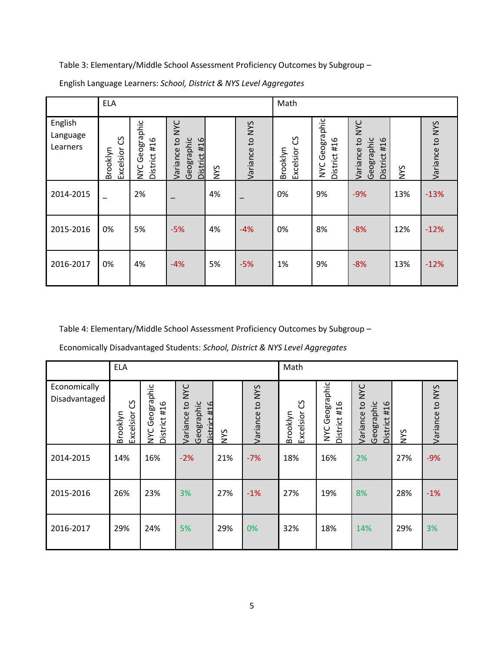|                                 | <b>ELA</b>                      |                                          |                                                                      |            |                 | Math                            |                                |                                                                        |            |                 |
|---------------------------------|---------------------------------|------------------------------------------|----------------------------------------------------------------------|------------|-----------------|---------------------------------|--------------------------------|------------------------------------------------------------------------|------------|-----------------|
| English<br>Language<br>Learners | უ<br>ე<br>Excelsior<br>Brooklyn | Geographic<br>District #16<br><b>NYC</b> | <b>NYC</b><br>$\mathbf{c}$<br>Geographic<br>District #16<br>Variance | <b>NYS</b> | Variance to NYS | უ<br>ე<br>Excelsior<br>Brooklyn | NYC Geographic<br>District #16 | <b>NYC</b><br>$\overline{c}$<br>Geographic<br>District #16<br>Variance | <b>NYS</b> | Variance to NYS |
| 2014-2015                       |                                 | 2%                                       |                                                                      | 4%         |                 | 0%                              | 9%                             | $-9%$                                                                  | 13%        | $-13%$          |
| 2015-2016                       | 0%                              | 5%                                       | $-5%$                                                                | 4%         | $-4%$           | 0%                              | 8%                             | $-8%$                                                                  | 12%        | $-12%$          |
| 2016-2017                       | 0%                              | 4%                                       | $-4%$                                                                | 5%         | $-5%$           | 1%                              | 9%                             | $-8%$                                                                  | 13%        | $-12%$          |

English Language Learners: *School, District & NYS Level Aggregates*

Table 4: Elementary/Middle School Assessment Proficiency Outcomes by Subgroup –

|                               | <b>ELA</b>                      |                                          |                                                          |            |                 | Math                       |                                   |                                                         |            |                 |
|-------------------------------|---------------------------------|------------------------------------------|----------------------------------------------------------|------------|-----------------|----------------------------|-----------------------------------|---------------------------------------------------------|------------|-----------------|
| Economically<br>Disadvantaged | უ<br>ე<br>Excelsior<br>Brooklyn | Geographic<br>District #16<br><b>NYC</b> | Variance to NYC<br>Geographic<br><b>JT#</b><br>District: | <b>SAN</b> | Variance to NYS | უ<br>Excelsior<br>Brooklyn | Geographic<br>District #16<br>NYC | Variance to NYC<br>Geographic<br>#16<br><b>District</b> | <b>NYS</b> | Variance to NYS |
| 2014-2015                     | 14%                             | 16%                                      | $-2%$                                                    | 21%        | $-7%$           | 18%                        | 16%                               | 2%                                                      | 27%        | $-9%$           |
| 2015-2016                     | 26%                             | 23%                                      | 3%                                                       | 27%        | $-1%$           | 27%                        | 19%                               | 8%                                                      | 28%        | $-1%$           |
| 2016-2017                     | 29%                             | 24%                                      | 5%                                                       | 29%        | 0%              | 32%                        | 18%                               | 14%                                                     | 29%        | 3%              |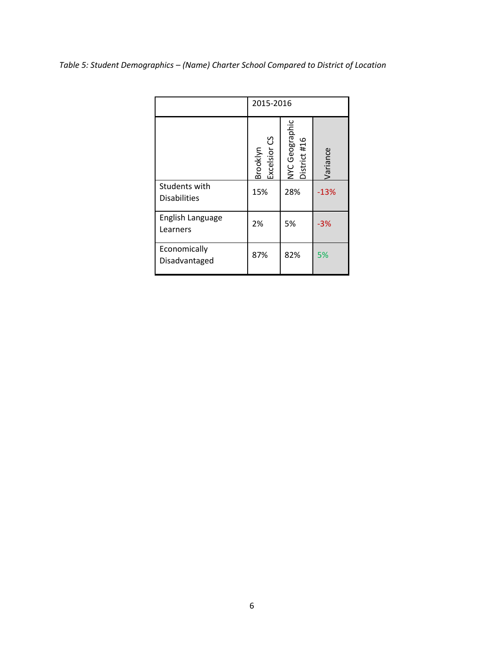|                                      | 2015-2016                |                                |          |
|--------------------------------------|--------------------------|--------------------------------|----------|
|                                      | Brooklyn<br>Excelsior CS | NYC Geographic<br>District #16 | Variance |
| Students with<br><b>Disabilities</b> | 15%                      | 28%                            | $-13%$   |
| English Language<br>Learners         | 2%                       | 5%                             | $-3%$    |
| Economically<br>Disadvantaged        | 87%                      | 82%                            | 5%       |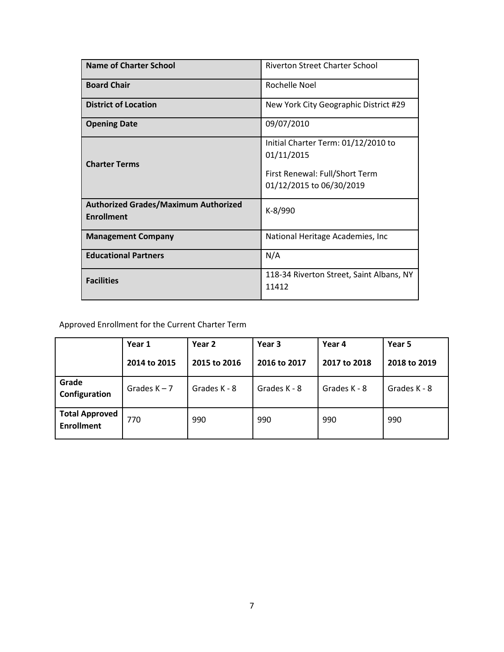| Name of Charter School                                           | <b>Riverton Street Charter School</b>                                                                           |
|------------------------------------------------------------------|-----------------------------------------------------------------------------------------------------------------|
| <b>Board Chair</b>                                               | Rochelle Noel                                                                                                   |
| <b>District of Location</b>                                      | New York City Geographic District #29                                                                           |
| <b>Opening Date</b>                                              | 09/07/2010                                                                                                      |
| <b>Charter Terms</b>                                             | Initial Charter Term: 01/12/2010 to<br>01/11/2015<br>First Renewal: Full/Short Term<br>01/12/2015 to 06/30/2019 |
| <b>Authorized Grades/Maximum Authorized</b><br><b>Enrollment</b> | K-8/990                                                                                                         |
| <b>Management Company</b>                                        | National Heritage Academies, Inc.                                                                               |
| <b>Educational Partners</b>                                      | N/A                                                                                                             |
| <b>Facilities</b>                                                | 118-34 Riverton Street, Saint Albans, NY<br>11412                                                               |

|                                            | Year 1         | Year 2<br>Year 3 |              | Year 4       | Year 5       |
|--------------------------------------------|----------------|------------------|--------------|--------------|--------------|
|                                            | 2014 to 2015   | 2015 to 2016     | 2016 to 2017 | 2017 to 2018 | 2018 to 2019 |
| Grade<br>Configuration                     | Grades $K - 7$ | Grades K - 8     | Grades K - 8 | Grades K - 8 | Grades K - 8 |
| <b>Total Approved</b><br><b>Enrollment</b> | 770            | 990              | 990          | 990          | 990          |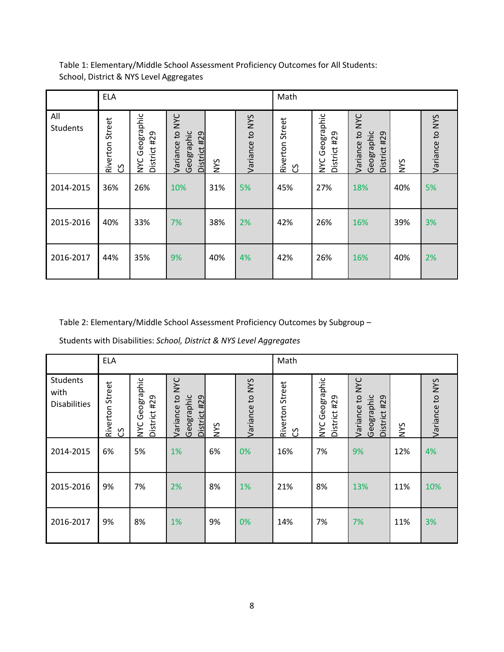|                        | <b>ELA</b>           |                                   |                                                                      |     |                 | Math                 |                                |                                                                         |            |                 |
|------------------------|----------------------|-----------------------------------|----------------------------------------------------------------------|-----|-----------------|----------------------|--------------------------------|-------------------------------------------------------------------------|------------|-----------------|
| All<br><b>Students</b> | Riverton Street<br>უ | Geographic<br>District #29<br>NYC | <b>NVC</b><br>$\mathbf{c}$<br>Geographic<br>District #29<br>Variance | NYS | Variance to NYS | Riverton Street<br>უ | NYC Geographic<br>District #29 | <b>NYC</b><br>$\mathbf{c}$<br>Geographic<br>#29<br>Variance<br>District | <b>NNS</b> | Variance to NYS |
| 2014-2015              | 36%                  | 26%                               | 10%                                                                  | 31% | 5%              | 45%                  | 27%                            | 18%                                                                     | 40%        | 5%              |
| 2015-2016              | 40%                  | 33%                               | 7%                                                                   | 38% | 2%              | 42%                  | 26%                            | 16%                                                                     | 39%        | 3%              |
| 2016-2017              | 44%                  | 35%                               | 9%                                                                   | 40% | 4%              | 42%                  | 26%                            | 16%                                                                     | 40%        | 2%              |

Table 2: Elementary/Middle School Assessment Proficiency Outcomes by Subgroup –

Students with Disabilities: *School, District & NYS Level Aggregates*

|                                                | <b>ELA</b>            |                                |                                                                        |     |                 | Math                 |                                |                                                                           |            |                 |
|------------------------------------------------|-----------------------|--------------------------------|------------------------------------------------------------------------|-----|-----------------|----------------------|--------------------------------|---------------------------------------------------------------------------|------------|-----------------|
| <b>Students</b><br>with<br><b>Disabilities</b> | Riverton Street<br>රි | NYC Geographic<br>District #29 | <b>NNC</b><br>$\mathsf{c}_1$<br>Geographic<br>District #29<br>Variance | NYS | Variance to NYS | Riverton Street<br>უ | NYC Geographic<br>District #29 | <b>NYC</b><br>$\mathsf{c}_1$<br>Geographic<br>#29<br>Variance<br>District | <b>SAN</b> | Variance to NYS |
| 2014-2015                                      | 6%                    | 5%                             | 1%                                                                     | 6%  | 0%              | 16%                  | 7%                             | 9%                                                                        | 12%        | 4%              |
| 2015-2016                                      | 9%                    | 7%                             | 2%                                                                     | 8%  | 1%              | 21%                  | 8%                             | 13%                                                                       | 11%        | 10%             |
| 2016-2017                                      | 9%                    | 8%                             | 1%                                                                     | 9%  | 0%              | 14%                  | 7%                             | 7%                                                                        | 11%        | 3%              |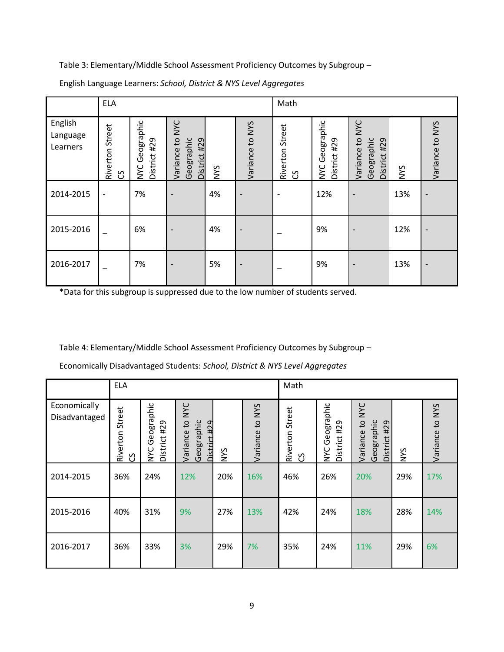|                                 | <b>ELA</b>                  |                                          |                                                                      |            |                          | Math                         |                                |                                                               |            |                 |
|---------------------------------|-----------------------------|------------------------------------------|----------------------------------------------------------------------|------------|--------------------------|------------------------------|--------------------------------|---------------------------------------------------------------|------------|-----------------|
| English<br>Language<br>Learners | Riverton Street<br><u>ვ</u> | Geographic<br>District #29<br><b>NYC</b> | <b>NAC</b><br>$\mathbf{c}$<br>Geographic<br>District #29<br>Variance | <b>NYS</b> | Variance to NYS          | Street<br>Riverton<br>უ<br>ე | NYC Geographic<br>District #29 | NYC<br>$\mathbf{c}$<br>Geographic<br>District #29<br>Variance | <b>NNS</b> | Variance to NYS |
| 2014-2015                       | $\overline{\phantom{a}}$    | 7%                                       |                                                                      | 4%         |                          |                              | 12%                            |                                                               | 13%        |                 |
| 2015-2016                       |                             | 6%                                       |                                                                      | 4%         | $\overline{\phantom{0}}$ |                              | 9%                             |                                                               | 12%        |                 |
| 2016-2017                       |                             | 7%                                       |                                                                      | 5%         | $\overline{\phantom{0}}$ |                              | 9%                             |                                                               | 13%        |                 |

English Language Learners: *School, District & NYS Level Aggregates*

\*Data for this subgroup is suppressed due to the low number of students served.

Table 4: Elementary/Middle School Assessment Proficiency Outcomes by Subgroup –

|                               | <b>ELA</b>                          |                                          |                                                   |            |                 | Math                      |                                          |                                                         |            |                 |
|-------------------------------|-------------------------------------|------------------------------------------|---------------------------------------------------|------------|-----------------|---------------------------|------------------------------------------|---------------------------------------------------------|------------|-----------------|
| Economically<br>Disadvantaged | Street<br>Riverton<br>$\mathcal{S}$ | Geographic<br>District #29<br><b>NYC</b> | Variance to NYC<br>Geographic<br>429<br>District: | <b>NYS</b> | Variance to NYS | Riverton Street<br>უ<br>ე | Geographic<br>District #29<br><b>NYC</b> | Variance to NYC<br>Geographic<br>#29<br><b>District</b> | <b>NNS</b> | Variance to NYS |
| 2014-2015                     | 36%                                 | 24%                                      | 12%                                               | 20%        | 16%             | 46%                       | 26%                                      | 20%                                                     | 29%        | 17%             |
| 2015-2016                     | 40%                                 | 31%                                      | 9%                                                | 27%        | 13%             | 42%                       | 24%                                      | 18%                                                     | 28%        | 14%             |
| 2016-2017                     | 36%                                 | 33%                                      | 3%                                                | 29%        | 7%              | 35%                       | 24%                                      | 11%                                                     | 29%        | 6%              |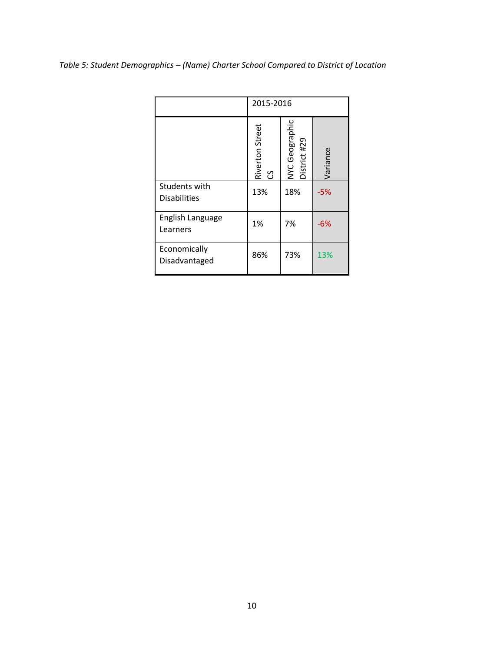|                                      |                       | 2015-2016                      |          |  |  |  |  |
|--------------------------------------|-----------------------|--------------------------------|----------|--|--|--|--|
|                                      | Riverton Street<br>CS | NYC Geographic<br>District #29 | Variance |  |  |  |  |
| Students with<br><b>Disabilities</b> | 13%                   | 18%                            | $-5%$    |  |  |  |  |
| English Language<br>Learners         | 1%                    | 7%                             | $-6%$    |  |  |  |  |
| Economically<br>Disadvantaged        | 86%                   | 73%                            | 13%      |  |  |  |  |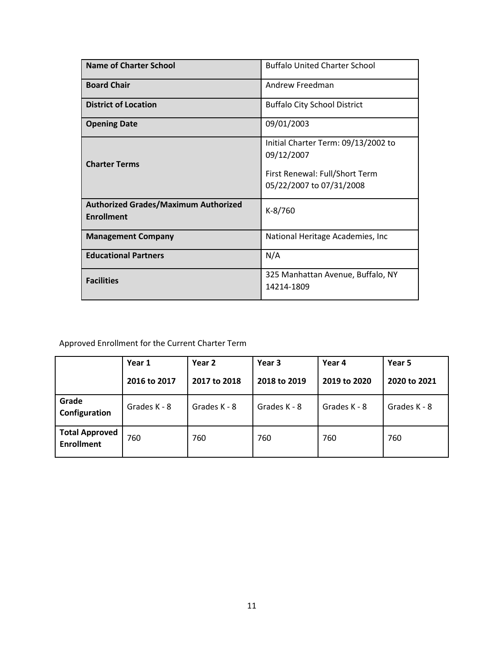| Name of Charter School                                           | <b>Buffalo United Charter School</b>                                                                            |
|------------------------------------------------------------------|-----------------------------------------------------------------------------------------------------------------|
| <b>Board Chair</b>                                               | Andrew Freedman                                                                                                 |
| <b>District of Location</b>                                      | <b>Buffalo City School District</b>                                                                             |
| <b>Opening Date</b>                                              | 09/01/2003                                                                                                      |
| <b>Charter Terms</b>                                             | Initial Charter Term: 09/13/2002 to<br>09/12/2007<br>First Renewal: Full/Short Term<br>05/22/2007 to 07/31/2008 |
| <b>Authorized Grades/Maximum Authorized</b><br><b>Enrollment</b> | K-8/760                                                                                                         |
| <b>Management Company</b>                                        | National Heritage Academies, Inc                                                                                |
| <b>Educational Partners</b>                                      | N/A                                                                                                             |
| <b>Facilities</b>                                                | 325 Manhattan Avenue, Buffalo, NY<br>14214-1809                                                                 |

|                                            | Year 1       | Year 2       | Year 3       | Year 4       | Year 5       |  |
|--------------------------------------------|--------------|--------------|--------------|--------------|--------------|--|
|                                            | 2016 to 2017 | 2017 to 2018 | 2018 to 2019 | 2019 to 2020 | 2020 to 2021 |  |
| Grade<br>Configuration                     | Grades K - 8 | Grades K - 8 | Grades K - 8 | Grades K - 8 | Grades K - 8 |  |
| <b>Total Approved</b><br><b>Enrollment</b> | 760          | 760          | 760          | 760          | 760          |  |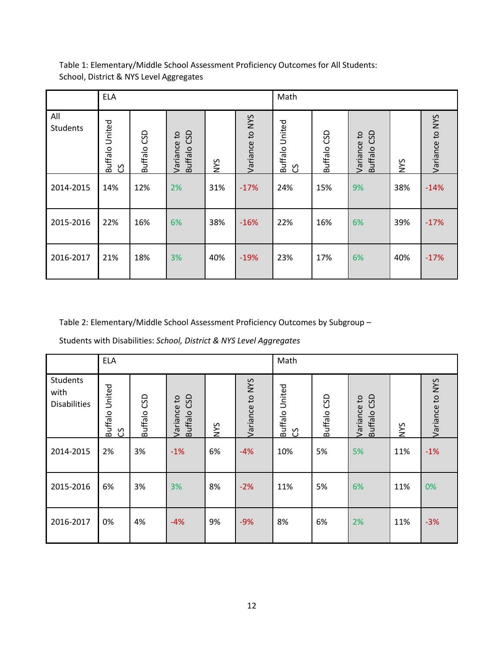|                        | <b>ELA</b>                    |             |                               |            |                 | Math                |             |                               |     |                 |
|------------------------|-------------------------------|-------------|-------------------------------|------------|-----------------|---------------------|-------------|-------------------------------|-----|-----------------|
| All<br><b>Students</b> | United<br><b>Buffalo</b><br>უ | Buffalo CSD | Buffalo CSD<br>S+<br>Variance | <b>SAN</b> | Variance to NYS | Buffalo United<br>უ | Buffalo CSD | Buffalo CSD<br>S,<br>Variance | NYS | Variance to NYS |
| 2014-2015              | 14%                           | 12%         | 2%                            | 31%        | $-17%$          | 24%                 | 15%         | 9%                            | 38% | $-14%$          |
| 2015-2016              | 22%                           | 16%         | 6%                            | 38%        | $-16%$          | 22%                 | 16%         | 6%                            | 39% | $-17%$          |
| 2016-2017              | 21%                           | 18%         | 3%                            | 40%        | $-19%$          | 23%                 | 17%         | 6%                            | 40% | $-17%$          |

Table 2: Elementary/Middle School Assessment Proficiency Outcomes by Subgroup –

Students with Disabilities: *School, District & NYS Level Aggregates*

|                                                | <b>ELA</b>                        |             |                            |            |                 | Math                     |             |                                           |            |                 |
|------------------------------------------------|-----------------------------------|-------------|----------------------------|------------|-----------------|--------------------------|-------------|-------------------------------------------|------------|-----------------|
| <b>Students</b><br>with<br><b>Disabilities</b> | <b>Buffalo United</b><br><u>ვ</u> | Buffalo CSD | Buffalo CSD<br>Variance to | <b>SAN</b> | Variance to NYS | United<br>Buffalo I<br>უ | Buffalo CSD | Buffalo CSD<br>$\mathsf{c}_1$<br>Variance | <b>NYS</b> | Variance to NYS |
| 2014-2015                                      | 2%                                | 3%          | $-1%$                      | 6%         | $-4%$           | 10%                      | 5%          | 5%                                        | 11%        | $-1%$           |
| 2015-2016                                      | 6%                                | 3%          | 3%                         | 8%         | $-2%$           | 11%                      | 5%          | 6%                                        | 11%        | 0%              |
| 2016-2017                                      | 0%                                | 4%          | $-4%$                      | 9%         | $-9%$           | 8%                       | 6%          | 2%                                        | 11%        | $-3%$           |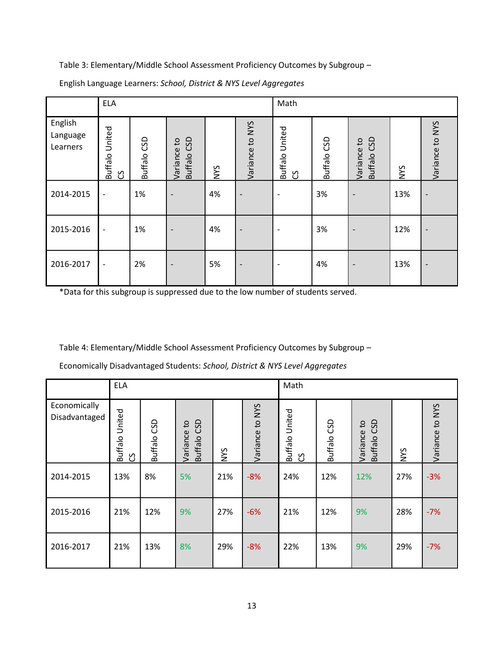|                                 | <b>ELA</b>                    |             |                                         |            |                          | Math                          |                |                                           |            |                 |
|---------------------------------|-------------------------------|-------------|-----------------------------------------|------------|--------------------------|-------------------------------|----------------|-------------------------------------------|------------|-----------------|
| English<br>Language<br>Learners | United<br><b>Buffalo</b><br>უ | Buffalo CSD | Buffalo CSD<br>$\mathsf{c}$<br>Variance | <b>NYS</b> | Variance to NYS          | United<br><b>Buffalo</b><br>უ | GSD<br>Buffalo | Buffalo CSD<br>$\mathsf{c}_1$<br>Variance | <b>NYS</b> | Variance to NYS |
| 2014-2015                       | $\overline{\phantom{a}}$      | 1%          | $\overline{\phantom{0}}$                | 4%         | $\overline{\phantom{0}}$ | ۰                             | 3%             |                                           | 13%        |                 |
| 2015-2016                       | $\overline{\phantom{a}}$      | 1%          |                                         | 4%         | $\overline{\phantom{0}}$ |                               | 3%             |                                           | 12%        |                 |
| 2016-2017                       | $\overline{\phantom{a}}$      | 2%          | $\overline{\phantom{a}}$                | 5%         | $\overline{\phantom{a}}$ | ٠                             | 4%             | $\overline{\phantom{0}}$                  | 13%        |                 |

English Language Learners: *School, District & NYS Level Aggregates*

\*Data for this subgroup is suppressed due to the low number of students served.

Table 4: Elementary/Middle School Assessment Proficiency Outcomes by Subgroup –

|                               | <b>ELA</b>                         |             |                            |     |                 | Math                |               |                            |     |                 |
|-------------------------------|------------------------------------|-------------|----------------------------|-----|-----------------|---------------------|---------------|----------------------------|-----|-----------------|
| Economically<br>Disadvantaged | United<br><b>Buffalo</b><br>უ<br>ე | Buffalo CSD | Buffalo CSD<br>Variance to | NYS | Variance to NYS | Buffalo United<br>უ | SD<br>Buffalo | Buffalo CSD<br>Variance to | NYS | Variance to NYS |
| 2014-2015                     | 13%                                | 8%          | 5%                         | 21% | $-8%$           | 24%                 | 12%           | 12%                        | 27% | $-3%$           |
| 2015-2016                     | 21%                                | 12%         | 9%                         | 27% | $-6%$           | 21%                 | 12%           | 9%                         | 28% | $-7%$           |
| 2016-2017                     | 21%                                | 13%         | 8%                         | 29% | $-8%$           | 22%                 | 13%           | 9%                         | 29% | $-7%$           |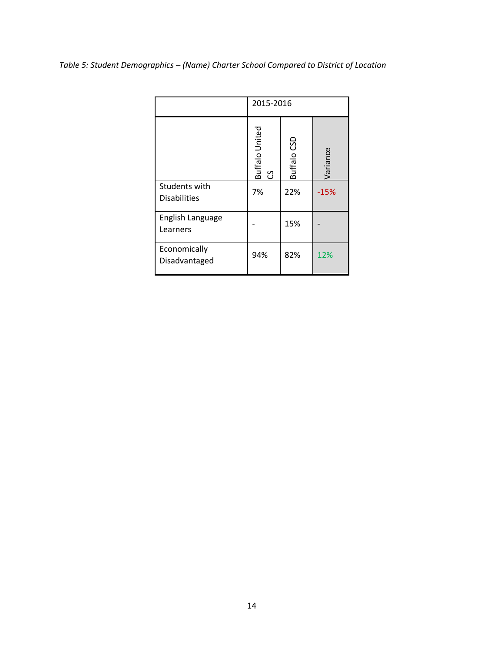|                                      | 2015-2016             |             |          |  |  |  |
|--------------------------------------|-----------------------|-------------|----------|--|--|--|
|                                      | Buffalo United<br>ပ္ပ | Buffalo CSD | Variance |  |  |  |
| Students with<br><b>Disabilities</b> | 7%                    | 22%         | $-15%$   |  |  |  |
| English Language<br>Learners         |                       | 15%         |          |  |  |  |
| Economically<br>Disadvantaged        | 94%                   | 82%         | 12%      |  |  |  |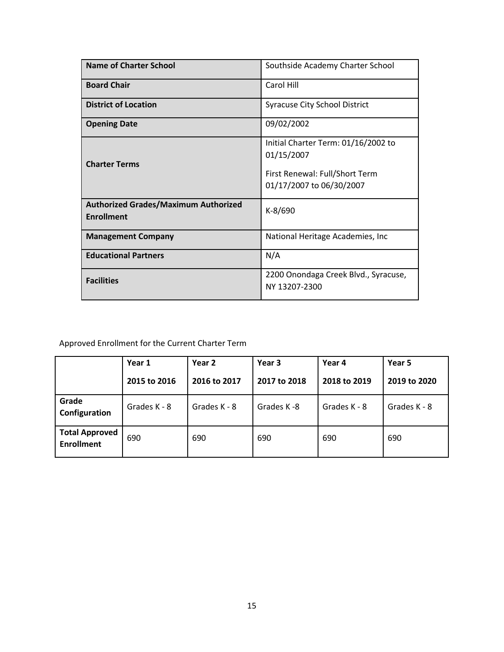| <b>Name of Charter School</b>                                    | Southside Academy Charter School                                                                                |
|------------------------------------------------------------------|-----------------------------------------------------------------------------------------------------------------|
| <b>Board Chair</b>                                               | Carol Hill                                                                                                      |
| <b>District of Location</b>                                      | <b>Syracuse City School District</b>                                                                            |
| <b>Opening Date</b>                                              | 09/02/2002                                                                                                      |
| <b>Charter Terms</b>                                             | Initial Charter Term: 01/16/2002 to<br>01/15/2007<br>First Renewal: Full/Short Term<br>01/17/2007 to 06/30/2007 |
| <b>Authorized Grades/Maximum Authorized</b><br><b>Enrollment</b> | $K-8/690$                                                                                                       |
| <b>Management Company</b>                                        | National Heritage Academies, Inc.                                                                               |
| <b>Educational Partners</b>                                      | N/A                                                                                                             |
| <b>Facilities</b>                                                | 2200 Onondaga Creek Blvd., Syracuse,<br>NY 13207-2300                                                           |

|                                            | Year 1       | Year 2       | Year 3       | Year 4       | Year 5       |  |
|--------------------------------------------|--------------|--------------|--------------|--------------|--------------|--|
|                                            | 2015 to 2016 | 2016 to 2017 | 2017 to 2018 | 2018 to 2019 | 2019 to 2020 |  |
| Grade<br>Configuration                     | Grades K - 8 | Grades K - 8 | Grades K-8   | Grades K - 8 | Grades K - 8 |  |
| <b>Total Approved</b><br><b>Enrollment</b> | 690          | 690          | 690          | 690          | 690          |  |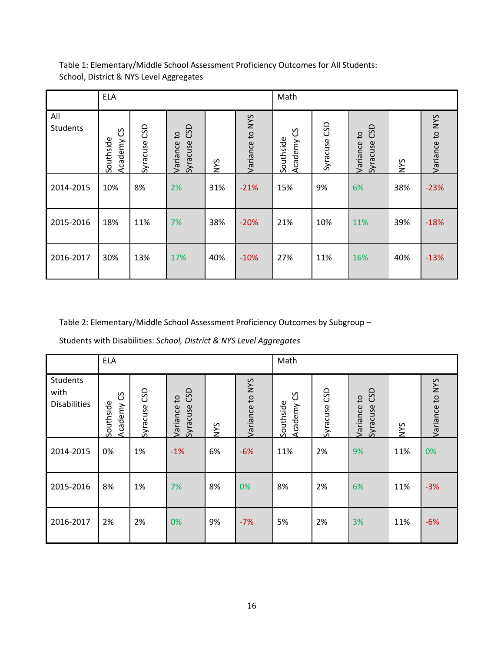|                 | <b>ELA</b>                |                 |                                             |     |                 | Math                      |                 |                                               |     |                 |
|-----------------|---------------------------|-----------------|---------------------------------------------|-----|-----------------|---------------------------|-----------------|-----------------------------------------------|-----|-----------------|
| All<br>Students | უ<br>Southside<br>Academy | CSD<br>Syracuse | CSD<br>$\mathtt{S}$<br>Syracuse<br>Variance | NYS | Variance to NYS | უ<br>Southside<br>Academy | GSD<br>Syracuse | CSD<br>$\mathtt{c}_1$<br>Syracuse<br>Variance | NYS | Variance to NYS |
| 2014-2015       | 10%                       | 8%              | 2%                                          | 31% | $-21%$          | 15%                       | 9%              | 6%                                            | 38% | $-23%$          |
| 2015-2016       | 18%                       | 11%             | 7%                                          | 38% | $-20%$          | 21%                       | 10%             | 11%                                           | 39% | $-18%$          |
| 2016-2017       | 30%                       | 13%             | 17%                                         | 40% | $-10%$          | 27%                       | 11%             | 16%                                           | 40% | $-13%$          |

Table 2: Elementary/Middle School Assessment Proficiency Outcomes by Subgroup –

Students with Disabilities: *School, District & NYS Level Aggregates*

|                                                | <b>ELA</b>                |                 |                                             |            |                 | Math                      |                 |                                               |            |                 |
|------------------------------------------------|---------------------------|-----------------|---------------------------------------------|------------|-----------------|---------------------------|-----------------|-----------------------------------------------|------------|-----------------|
| <b>Students</b><br>with<br><b>Disabilities</b> | უ<br>Southside<br>Academy | GSD<br>Syracuse | CSD<br>$\mathbf{c}$<br>Syracuse<br>Variance | <b>SAN</b> | Variance to NYS | უ<br>Southside<br>Academy | GSD<br>Syracuse | CSD<br>$\mathsf{c}_1$<br>Syracuse<br>Variance | <b>NYS</b> | Variance to NYS |
| 2014-2015                                      | 0%                        | 1%              | $-1%$                                       | 6%         | $-6%$           | 11%                       | 2%              | 9%                                            | 11%        | 0%              |
| 2015-2016                                      | 8%                        | 1%              | 7%                                          | 8%         | 0%              | 8%                        | 2%              | 6%                                            | 11%        | $-3%$           |
| 2016-2017                                      | 2%                        | 2%              | 0%                                          | 9%         | $-7%$           | 5%                        | 2%              | 3%                                            | 11%        | $-6%$           |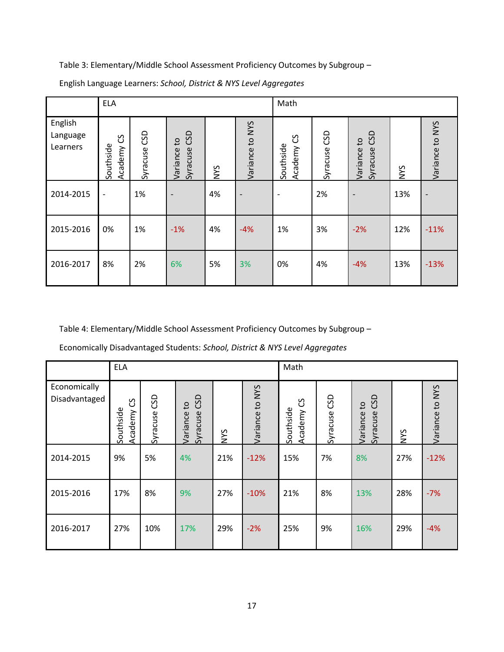|                                 | <b>ELA</b>                     |                 |                                             |            |                          | Math                           |                 |                                             |            |                 |
|---------------------------------|--------------------------------|-----------------|---------------------------------------------|------------|--------------------------|--------------------------------|-----------------|---------------------------------------------|------------|-----------------|
| English<br>Language<br>Learners | უ<br>ე<br>Southside<br>Academy | CSD<br>Syracuse | CSD<br>$\mathsf{c}$<br>Syracuse<br>Variance | <b>NYS</b> | Variance to NYS          | უ<br>ე<br>Southside<br>Academy | CSD<br>Syracuse | GSD<br>$\mathsf{c}$<br>Syracuse<br>Variance | <b>NYS</b> | Variance to NYS |
| 2014-2015                       | $\overline{\phantom{a}}$       | 1%              | $\overline{\phantom{a}}$                    | 4%         | $\overline{\phantom{a}}$ | $\overline{\phantom{a}}$       | 2%              | $\overline{\phantom{a}}$                    | 13%        |                 |
| 2015-2016                       | 0%                             | 1%              | $-1%$                                       | 4%         | $-4%$                    | 1%                             | 3%              | $-2%$                                       | 12%        | $-11%$          |
| 2016-2017                       | 8%                             | 2%              | 6%                                          | 5%         | 3%                       | 0%                             | 4%              | $-4%$                                       | 13%        | $-13%$          |

English Language Learners: *School, District & NYS Level Aggregates*

Table 4: Elementary/Middle School Assessment Proficiency Outcomes by Subgroup –

|                               | <b>ELA</b>                       |                 |                                             |            |                 | Math                             |                 |                                             |            |                 |  |
|-------------------------------|----------------------------------|-----------------|---------------------------------------------|------------|-----------------|----------------------------------|-----------------|---------------------------------------------|------------|-----------------|--|
| Economically<br>Disadvantaged | <u>ვ</u><br>Southside<br>Academy | CSD<br>Syracuse | GSD<br>$\mathsf{c}$<br>Syracuse<br>Variance | <b>SAN</b> | Variance to NYS | <u>ვ</u><br>Southside<br>Academy | GSD<br>Syracuse | GSD<br>$\mathsf{c}$<br>Variance<br>Syracuse | <b>SAN</b> | Variance to NYS |  |
| 2014-2015                     | 9%                               | 5%              | 4%                                          | 21%        | $-12%$          | 15%                              | 7%              | 8%                                          | 27%        | $-12%$          |  |
| 2015-2016                     | 17%                              | 8%              | 9%                                          | 27%        | $-10%$          | 21%                              | 8%              | 13%                                         | 28%        | $-7%$           |  |
| 2016-2017                     | 27%                              | 10%             | 17%                                         | 29%        | $-2%$           | 25%                              | 9%              | 16%                                         | 29%        | $-4%$           |  |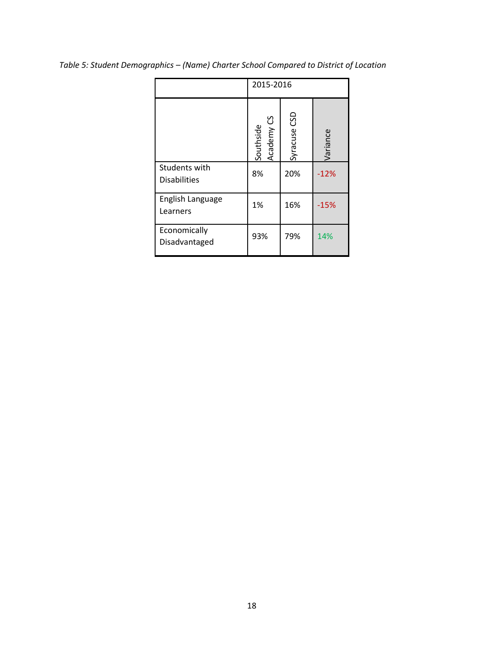|                                      | 2015-2016               |              |          |  |  |  |  |  |
|--------------------------------------|-------------------------|--------------|----------|--|--|--|--|--|
|                                      | Academy CS<br>Southside | Syracuse CSD | Variance |  |  |  |  |  |
| Students with<br><b>Disabilities</b> | 8%                      | 20%          | $-12%$   |  |  |  |  |  |
| English Language<br>Learners         | 1%                      | 16%          | $-15%$   |  |  |  |  |  |
| Economically<br>Disadvantaged        | 93%                     | 79%          | 14%      |  |  |  |  |  |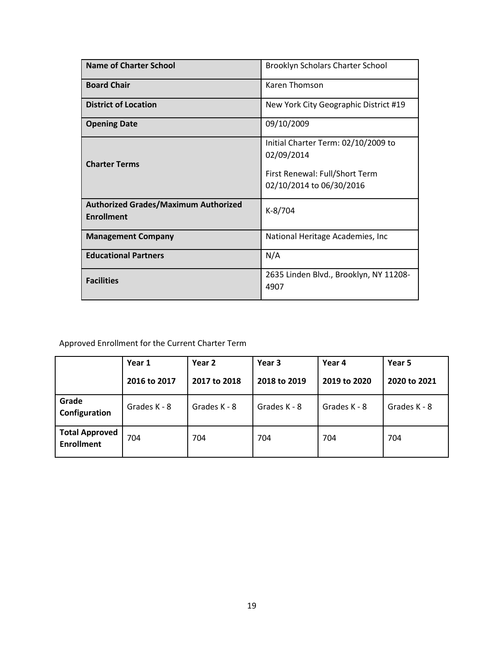| Name of Charter School                                           | Brooklyn Scholars Charter School                                                                                |
|------------------------------------------------------------------|-----------------------------------------------------------------------------------------------------------------|
| <b>Board Chair</b>                                               | Karen Thomson                                                                                                   |
| <b>District of Location</b>                                      | New York City Geographic District #19                                                                           |
| <b>Opening Date</b>                                              | 09/10/2009                                                                                                      |
| <b>Charter Terms</b>                                             | Initial Charter Term: 02/10/2009 to<br>02/09/2014<br>First Renewal: Full/Short Term<br>02/10/2014 to 06/30/2016 |
| <b>Authorized Grades/Maximum Authorized</b><br><b>Enrollment</b> | K-8/704                                                                                                         |
| <b>Management Company</b>                                        | National Heritage Academies, Inc                                                                                |
| <b>Educational Partners</b>                                      | N/A                                                                                                             |
| <b>Facilities</b>                                                | 2635 Linden Blvd., Brooklyn, NY 11208-<br>4907                                                                  |

|                                            | Year 1       | Year 2       | Year 3       | Year 4       | Year 5       |
|--------------------------------------------|--------------|--------------|--------------|--------------|--------------|
|                                            | 2016 to 2017 | 2017 to 2018 | 2018 to 2019 | 2019 to 2020 | 2020 to 2021 |
| Grade<br>Configuration                     | Grades K - 8 | Grades K - 8 | Grades K - 8 | Grades K - 8 | Grades K - 8 |
| <b>Total Approved</b><br><b>Enrollment</b> | 704          | 704          | 704          | 704          | 704          |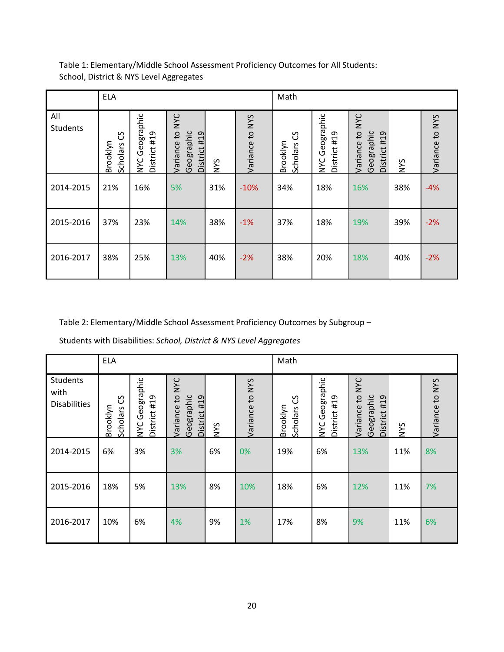|                        | <b>ELA</b>                |                                          |                                                                      |     |                 | Math                      |                                   |                                                                         |            |                 |
|------------------------|---------------------------|------------------------------------------|----------------------------------------------------------------------|-----|-----------------|---------------------------|-----------------------------------|-------------------------------------------------------------------------|------------|-----------------|
| All<br><b>Students</b> | უ<br>Brooklyn<br>Scholars | Geographic<br>District #19<br><b>NYC</b> | <b>NAC</b><br>$\mathbf{c}$<br>Geographic<br>District #19<br>Variance | NYS | Variance to NYS | უ<br>Brooklyn<br>Scholars | NYC Geographic<br>#19<br>District | <b>NYC</b><br>$\mathbf{c}$<br>Geographic<br>#19<br>Variance<br>District | <b>NNS</b> | Variance to NYS |
| 2014-2015              | 21%                       | 16%                                      | 5%                                                                   | 31% | $-10%$          | 34%                       | 18%                               | 16%                                                                     | 38%        | $-4%$           |
| 2015-2016              | 37%                       | 23%                                      | 14%                                                                  | 38% | $-1%$           | 37%                       | 18%                               | 19%                                                                     | 39%        | $-2%$           |
| 2016-2017              | 38%                       | 25%                                      | 13%                                                                  | 40% | $-2%$           | 38%                       | 20%                               | 18%                                                                     | 40%        | $-2%$           |

Table 2: Elementary/Middle School Assessment Proficiency Outcomes by Subgroup –

Students with Disabilities: *School, District & NYS Level Aggregates*

|                                                | <b>ELA</b>                |                                |                                                                        |     |                 | Math                       |                                |                                                                        |            |                 |
|------------------------------------------------|---------------------------|--------------------------------|------------------------------------------------------------------------|-----|-----------------|----------------------------|--------------------------------|------------------------------------------------------------------------|------------|-----------------|
| <b>Students</b><br>with<br><b>Disabilities</b> | უ<br>Brooklyn<br>Scholars | NYC Geographic<br>District #19 | <b>NYC</b><br>$\overline{c}$<br>Geographic<br>District #19<br>Variance | NYS | Variance to NYS | ပြ<br>Brooklyn<br>Scholars | NYC Geographic<br>District #19 | <b>NYC</b><br>$\overline{c}$<br>Geographic<br>District #19<br>Variance | <b>SAN</b> | Variance to NYS |
| 2014-2015                                      | 6%                        | 3%                             | 3%                                                                     | 6%  | $0\%$           | 19%                        | 6%                             | 13%                                                                    | 11%        | 8%              |
| 2015-2016                                      | 18%                       | 5%                             | 13%                                                                    | 8%  | 10%             | 18%                        | 6%                             | 12%                                                                    | 11%        | 7%              |
| 2016-2017                                      | 10%                       | 6%                             | 4%                                                                     | 9%  | 1%              | 17%                        | 8%                             | 9%                                                                     | 11%        | 6%              |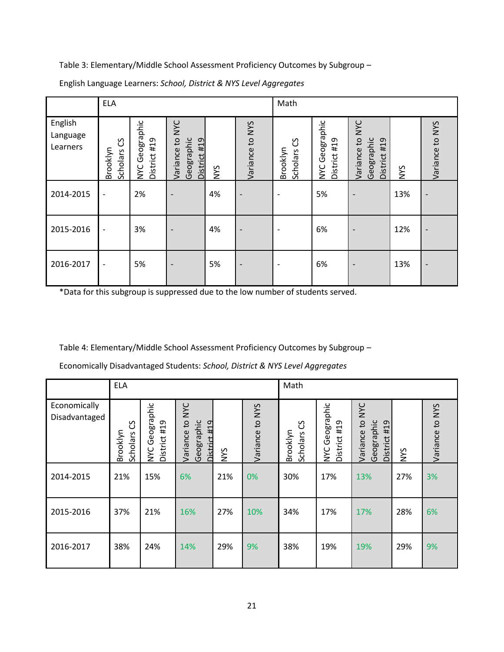|                                 | <b>ELA</b>                |                                          |                                                                      |     |                          | Math                        |                                |                                                                      |            |                 |
|---------------------------------|---------------------------|------------------------------------------|----------------------------------------------------------------------|-----|--------------------------|-----------------------------|--------------------------------|----------------------------------------------------------------------|------------|-----------------|
| English<br>Language<br>Learners | უ<br>Brooklyn<br>Scholars | Geographic<br>District #19<br><b>NYC</b> | <b>NYC</b><br>$\mathbf{c}$<br>Geographic<br>District #19<br>Variance | NYS | Variance to NYS          | ပ္ပ<br>Brooklyn<br>Scholars | NYC Geographic<br>District #19 | <b>NYC</b><br>$\mathbf{c}$<br>Geographic<br>District #19<br>Variance | <b>NYS</b> | Variance to NYS |
| 2014-2015                       | $\overline{\phantom{a}}$  | 2%                                       |                                                                      | 4%  |                          |                             | 5%                             |                                                                      | 13%        |                 |
| 2015-2016                       | $\overline{\phantom{a}}$  | 3%                                       |                                                                      | 4%  | $\overline{\phantom{a}}$ |                             | 6%                             |                                                                      | 12%        |                 |
| 2016-2017                       | $\overline{\phantom{a}}$  | 5%                                       | $\overline{\phantom{a}}$                                             | 5%  | $\overline{\phantom{a}}$ |                             | 6%                             |                                                                      | 13%        |                 |

English Language Learners: *School, District & NYS Level Aggregates*

\*Data for this subgroup is suppressed due to the low number of students served.

Table 4: Elementary/Middle School Assessment Proficiency Outcomes by Subgroup –

|                               | <b>ELA</b>                     |                                          |                                                        |            |                 | Math                      |                                          |                                                         |            |                 |
|-------------------------------|--------------------------------|------------------------------------------|--------------------------------------------------------|------------|-----------------|---------------------------|------------------------------------------|---------------------------------------------------------|------------|-----------------|
| Economically<br>Disadvantaged | უ<br>ე<br>Brooklyn<br>Scholars | Geographic<br>District #19<br><b>NYC</b> | Variance to NYC<br>Geographic<br>110<br><b>Distric</b> | <b>NYS</b> | Variance to NYS | უ<br>Brooklyn<br>Scholars | Geographic<br>District #19<br><b>NYC</b> | Variance to NYC<br>Geographic<br>#19<br><b>District</b> | <b>SAN</b> | Variance to NYS |
| 2014-2015                     | 21%                            | 15%                                      | 6%                                                     | 21%        | 0%              | 30%                       | 17%                                      | 13%                                                     | 27%        | 3%              |
| 2015-2016                     | 37%                            | 21%                                      | 16%                                                    | 27%        | 10%             | 34%                       | 17%                                      | 17%                                                     | 28%        | 6%              |
| 2016-2017                     | 38%                            | 24%                                      | 14%                                                    | 29%        | 9%              | 38%                       | 19%                                      | 19%                                                     | 29%        | 9%              |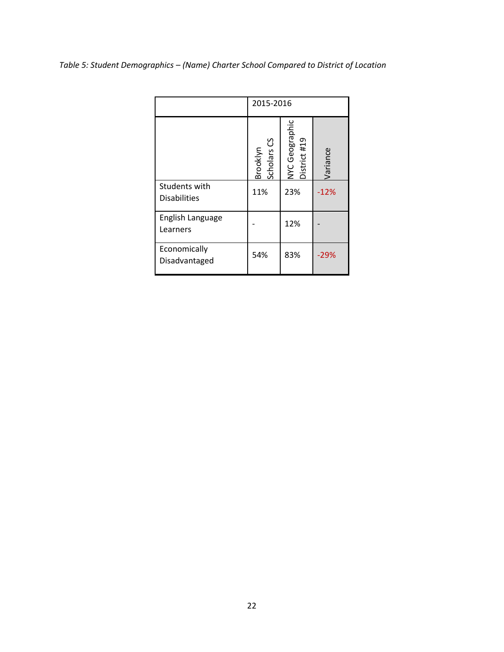|                                      | 2015-2016                          |                                |          |  |  |  |  |  |
|--------------------------------------|------------------------------------|--------------------------------|----------|--|--|--|--|--|
|                                      | Scholars <sub>CS</sub><br>Brooklyn | NYC Geographic<br>District #19 | Variance |  |  |  |  |  |
| Students with<br><b>Disabilities</b> | 11%                                | 23%                            | $-12%$   |  |  |  |  |  |
| English Language<br>Learners         |                                    | 12%                            |          |  |  |  |  |  |
| Economically<br>Disadvantaged        | 54%                                | 83%                            | $-29%$   |  |  |  |  |  |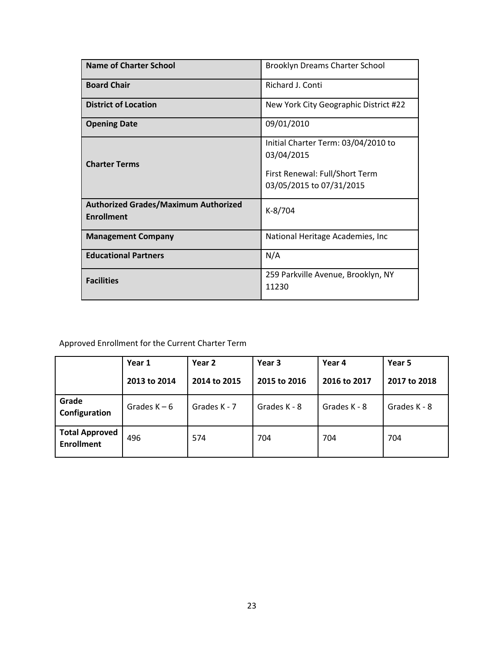| <b>Name of Charter School</b>                                    | <b>Brooklyn Dreams Charter School</b>                                                                           |  |  |  |  |
|------------------------------------------------------------------|-----------------------------------------------------------------------------------------------------------------|--|--|--|--|
| <b>Board Chair</b>                                               | Richard J. Conti                                                                                                |  |  |  |  |
| <b>District of Location</b>                                      | New York City Geographic District #22                                                                           |  |  |  |  |
| <b>Opening Date</b>                                              | 09/01/2010                                                                                                      |  |  |  |  |
| <b>Charter Terms</b>                                             | Initial Charter Term: 03/04/2010 to<br>03/04/2015<br>First Renewal: Full/Short Term<br>03/05/2015 to 07/31/2015 |  |  |  |  |
| <b>Authorized Grades/Maximum Authorized</b><br><b>Enrollment</b> | $K-8/704$                                                                                                       |  |  |  |  |
| <b>Management Company</b>                                        | National Heritage Academies, Inc.                                                                               |  |  |  |  |
| <b>Educational Partners</b>                                      | N/A                                                                                                             |  |  |  |  |
| <b>Facilities</b>                                                | 259 Parkville Avenue, Brooklyn, NY<br>11230                                                                     |  |  |  |  |

|                                            | Year 1         | Year 2       | Year 3       | Year 4       | Year 5       |  |
|--------------------------------------------|----------------|--------------|--------------|--------------|--------------|--|
|                                            | 2013 to 2014   | 2014 to 2015 | 2015 to 2016 | 2016 to 2017 | 2017 to 2018 |  |
| Grade<br>Configuration                     | Grades $K - 6$ | Grades K - 7 | Grades K - 8 | Grades K - 8 | Grades K - 8 |  |
| <b>Total Approved</b><br><b>Enrollment</b> | 496            | 574          | 704          | 704          | 704          |  |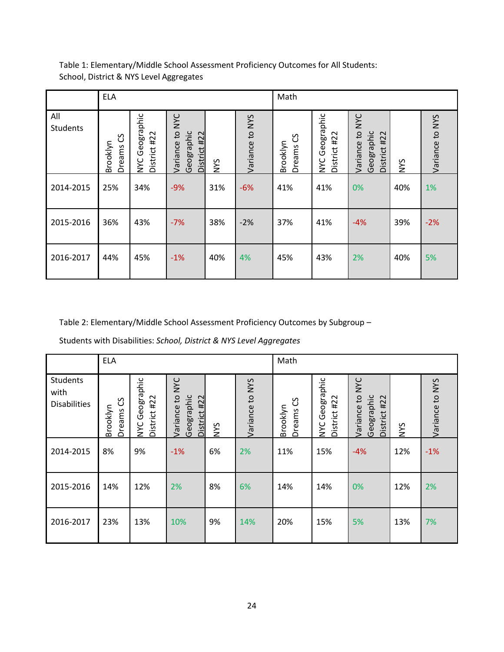| Table 1: Elementary/Middle School Assessment Proficiency Outcomes for All Students: |  |
|-------------------------------------------------------------------------------------|--|
| School, District & NYS Level Aggregates                                             |  |

|                 | <b>ELA</b>                   |                                |                                                                      |            |                    | Math                      |                                |                                                                          |            |                 |
|-----------------|------------------------------|--------------------------------|----------------------------------------------------------------------|------------|--------------------|---------------------------|--------------------------------|--------------------------------------------------------------------------|------------|-----------------|
| All<br>Students | უ<br>ე<br>Brooklyn<br>Dreams | NYC Geographic<br>District #22 | <b>NAC</b><br>$\mathbf{c}$<br>Geographic<br>District #22<br>Variance | <b>NYS</b> | to NYS<br>Variance | ပ္ပ<br>Brooklyn<br>Dreams | NYC Geographic<br>District #22 | <b>NYC</b><br>$\mathbf{c}$<br>Geographic<br>#22<br>Variance<br>District: | <b>NYS</b> | Variance to NYS |
| 2014-2015       | 25%                          | 34%                            | $-9%$                                                                | 31%        | $-6%$              | 41%                       | 41%                            | 0%                                                                       | 40%        | 1%              |
| 2015-2016       | 36%                          | 43%                            | $-7%$                                                                | 38%        | $-2%$              | 37%                       | 41%                            | $-4%$                                                                    | 39%        | $-2%$           |
| 2016-2017       | 44%                          | 45%                            | $-1%$                                                                | 40%        | 4%                 | 45%                       | 43%                            | 2%                                                                       | 40%        | 5%              |

Students with Disabilities: *School, District & NYS Level Aggregates*

|                                                | <b>ELA</b>                   |                                |                                                         |            |                 | Math                    |                                |                                                             |            |                 |
|------------------------------------------------|------------------------------|--------------------------------|---------------------------------------------------------|------------|-----------------|-------------------------|--------------------------------|-------------------------------------------------------------|------------|-----------------|
| <b>Students</b><br>with<br><b>Disabilities</b> | უ<br>ე<br>Brooklyn<br>Dreams | NYC Geographic<br>District #22 | <b>NYC</b><br>Variance to<br>Geographic<br>District #22 | <b>SAN</b> | Variance to NYS | უ<br>Brooklyn<br>Dreams | NYC Geographic<br>District #22 | <b>NYC</b><br>Variance to<br>Geographic<br>#22<br>District: | <b>SAN</b> | Variance to NYS |
| 2014-2015                                      | 8%                           | 9%                             | $-1%$                                                   | 6%         | 2%              | 11%                     | 15%                            | $-4%$                                                       | 12%        | $-1%$           |
| 2015-2016                                      | 14%                          | 12%                            | 2%                                                      | 8%         | 6%              | 14%                     | 14%                            | 0%                                                          | 12%        | 2%              |
| 2016-2017                                      | 23%                          | 13%                            | 10%                                                     | 9%         | 14%             | 20%                     | 15%                            | 5%                                                          | 13%        | 7%              |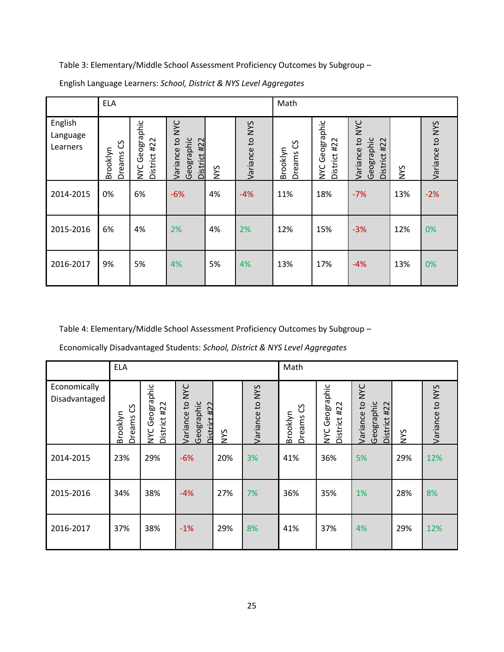|                                 | <b>ELA</b>               |                                          |                                                  |            |                 | Math                    |                                |                                                                        |            |                 |
|---------------------------------|--------------------------|------------------------------------------|--------------------------------------------------|------------|-----------------|-------------------------|--------------------------------|------------------------------------------------------------------------|------------|-----------------|
| English<br>Language<br>Learners | ပိ<br>Brooklyn<br>Dreams | Geographic<br>District #22<br><b>SAN</b> | to NYC<br>Geographic<br>District #22<br>Variance | <b>SAN</b> | Variance to NYS | უ<br>Brooklyn<br>Dreams | NYC Geographic<br>District #22 | <b>NYC</b><br>$\overline{c}$<br>Geographic<br>District #22<br>Variance | <b>SAN</b> | Variance to NYS |
| 2014-2015                       | 0%                       | 6%                                       | $-6%$                                            | 4%         | $-4%$           | 11%                     | 18%                            | $-7%$                                                                  | 13%        | $-2%$           |
| 2015-2016                       | 6%                       | 4%                                       | 2%                                               | 4%         | 2%              | 12%                     | 15%                            | $-3%$                                                                  | 12%        | 0%              |
| 2016-2017                       | 9%                       | 5%                                       | 4%                                               | 5%         | 4%              | 13%                     | 17%                            | $-4%$                                                                  | 13%        | 0%              |

English Language Learners: *School, District & NYS Level Aggregates*

Table 4: Elementary/Middle School Assessment Proficiency Outcomes by Subgroup –

|                               | <b>ELA</b>                   |                                          |                                                  |            |                 | Math                    |                                    |                                                         |     |                 |
|-------------------------------|------------------------------|------------------------------------------|--------------------------------------------------|------------|-----------------|-------------------------|------------------------------------|---------------------------------------------------------|-----|-----------------|
| Economically<br>Disadvantaged | უ<br>ე<br>Brooklyn<br>Dreams | Geographic<br>District #22<br><b>NYC</b> | Variance to NYC<br>Geographic<br>422<br>District | <b>SAN</b> | Variance to NYS | უ<br>Brooklyn<br>Dreams | Geographic<br>District #22<br>NYC. | Variance to NYC<br>Geographic<br>#22<br><b>District</b> | NYS | Variance to NYS |
| 2014-2015                     | 23%                          | 29%                                      | $-6%$                                            | 20%        | 3%              | 41%                     | 36%                                | 5%                                                      | 29% | 12%             |
| 2015-2016                     | 34%                          | 38%                                      | $-4%$                                            | 27%        | 7%              | 36%                     | 35%                                | 1%                                                      | 28% | 8%              |
| 2016-2017                     | 37%                          | 38%                                      | $-1%$                                            | 29%        | 8%              | 41%                     | 37%                                | 4%                                                      | 29% | 12%             |